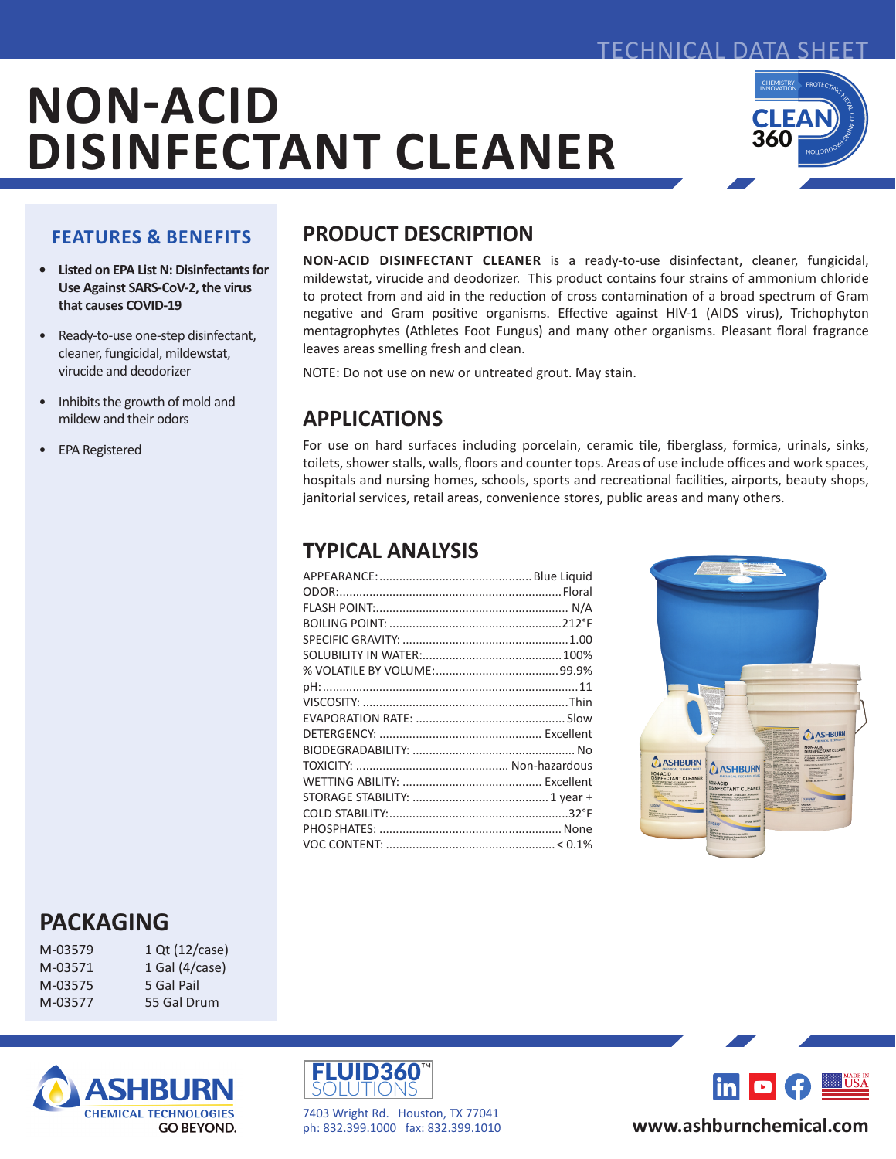

FCHNICAL DATA SHEET

#### **FEATURES & BENEFITS**

- **• Listed on EPA List N: Disinfectants for Use Against SARS-CoV-2, the virus that causes COVID-19**
- Ready-to-use one-step disinfectant, cleaner, fungicidal, mildewstat, virucide and deodorizer
- Inhibits the growth of mold and mildew and their odors
- EPA Registered

## **PRODUCT DESCRIPTION**

**NON-ACID DISINFECTANT CLEANER** is a ready-to-use disinfectant, cleaner, fungicidal, mildewstat, virucide and deodorizer. This product contains four strains of ammonium chloride to protect from and aid in the reduction of cross contamination of a broad spectrum of Gram negative and Gram positive organisms. Effective against HIV-1 (AIDS virus), Trichophyton mentagrophytes (Athletes Foot Fungus) and many other organisms. Pleasant floral fragrance leaves areas smelling fresh and clean.

NOTE: Do not use on new or untreated grout. May stain.

# **APPLICATIONS**

For use on hard surfaces including porcelain, ceramic tile, fiberglass, formica, urinals, sinks, toilets, shower stalls, walls, floors and counter tops. Areas of use include offices and work spaces, hospitals and nursing homes, schools, sports and recreational facilities, airports, beauty shops, janitorial services, retail areas, convenience stores, public areas and many others.

### **TYPICAL ANALYSIS**



# **PACKAGING**

| M-03579 | 1 Qt ( |
|---------|--------|
| M-03571 | 1 Gal  |
| M-03575 | 5 Gal  |
| M-03577 | 55 Ga  |
|         |        |







7403 Wright Rd. Houston, TX 77041 ph: 832.399.1000 fax: 832.399.1010



### **www.ashburnchemical.com**